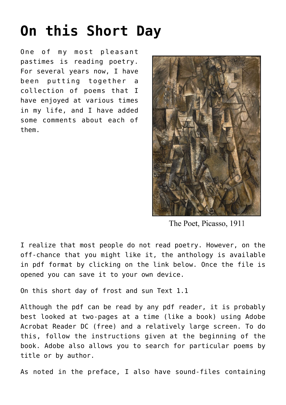## **[On this Short Day](https://creatureandcreator.ca/?p=3915)**

One of my most pleasant pastimes is reading poetry. For several years now, I have been putting together a collection of poems that I have enjoyed at various times in my life, and I have added some comments about each of them.



The Poet, Picasso, 1911

I realize that most people do not read poetry. However, on the off-chance that you might like it, the anthology is available in pdf format by clicking on the link below. Once the file is opened you can save it to your own device.

[On this short day of frost and sun Text 1.1](https://creatureandcreator.ca/wp-content/uploads/2022/01/On-this-short-day-of-frost-and-sun-Text-1.1.pdf)

Although the pdf can be read by any pdf reader, it is probably best looked at two-pages at a time (like a book) using Adobe Acrobat Reader DC (free) and a relatively large screen. To do this, follow the instructions given at the beginning of the book. Adobe also allows you to search for particular poems by title or by author.

As noted in the preface, I also have sound-files containing